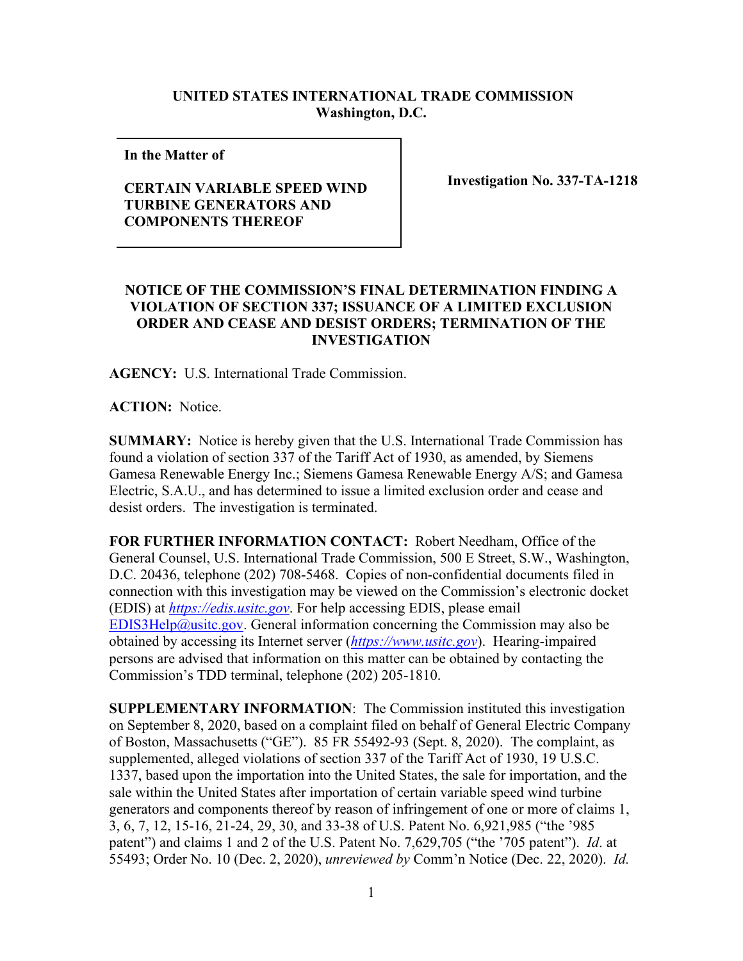## **UNITED STATES INTERNATIONAL TRADE COMMISSION Washington, D.C.**

**In the Matter of** 

## **CERTAIN VARIABLE SPEED WIND TURBINE GENERATORS AND COMPONENTS THEREOF**

**Investigation No. 337-TA-1218**

## **NOTICE OF THE COMMISSION'S FINAL DETERMINATION FINDING A VIOLATION OF SECTION 337; ISSUANCE OF A LIMITED EXCLUSION ORDER AND CEASE AND DESIST ORDERS; TERMINATION OF THE INVESTIGATION**

**AGENCY:** U.S. International Trade Commission.

**ACTION:** Notice.

**SUMMARY:** Notice is hereby given that the U.S. International Trade Commission has found a violation of section 337 of the Tariff Act of 1930, as amended, by Siemens Gamesa Renewable Energy Inc.; Siemens Gamesa Renewable Energy A/S; and Gamesa Electric, S.A.U., and has determined to issue a limited exclusion order and cease and desist orders. The investigation is terminated.

**FOR FURTHER INFORMATION CONTACT:** Robert Needham, Office of the General Counsel, U.S. International Trade Commission, 500 E Street, S.W., Washington, D.C. 20436, telephone (202) 708-5468. Copies of non-confidential documents filed in connection with this investigation may be viewed on the Commission's electronic docket (EDIS) at *[https://edis.usitc.gov](https://edis.usitc.gov/)*. For help accessing EDIS, please email [EDIS3Help@usitc.gov.](mailto:EDIS3Help@usitc.gov) General information concerning the Commission may also be obtained by accessing its Internet server (*[https://www.usitc.gov](https://www.usitc.gov/)*). Hearing-impaired persons are advised that information on this matter can be obtained by contacting the Commission's TDD terminal, telephone (202) 205-1810.

**SUPPLEMENTARY INFORMATION**: The Commission instituted this investigation on September 8, 2020, based on a complaint filed on behalf of General Electric Company of Boston, Massachusetts ("GE"). 85 FR 55492-93 (Sept. 8, 2020). The complaint, as supplemented, alleged violations of section 337 of the Tariff Act of 1930, 19 U.S.C. 1337, based upon the importation into the United States, the sale for importation, and the sale within the United States after importation of certain variable speed wind turbine generators and components thereof by reason of infringement of one or more of claims 1, 3, 6, 7, 12, 15-16, 21-24, 29, 30, and 33-38 of U.S. Patent No. 6,921,985 ("the '985 patent") and claims 1 and 2 of the U.S. Patent No. 7,629,705 ("the '705 patent"). *Id*. at 55493; Order No. 10 (Dec. 2, 2020), *unreviewed by* Comm'n Notice (Dec. 22, 2020). *Id.*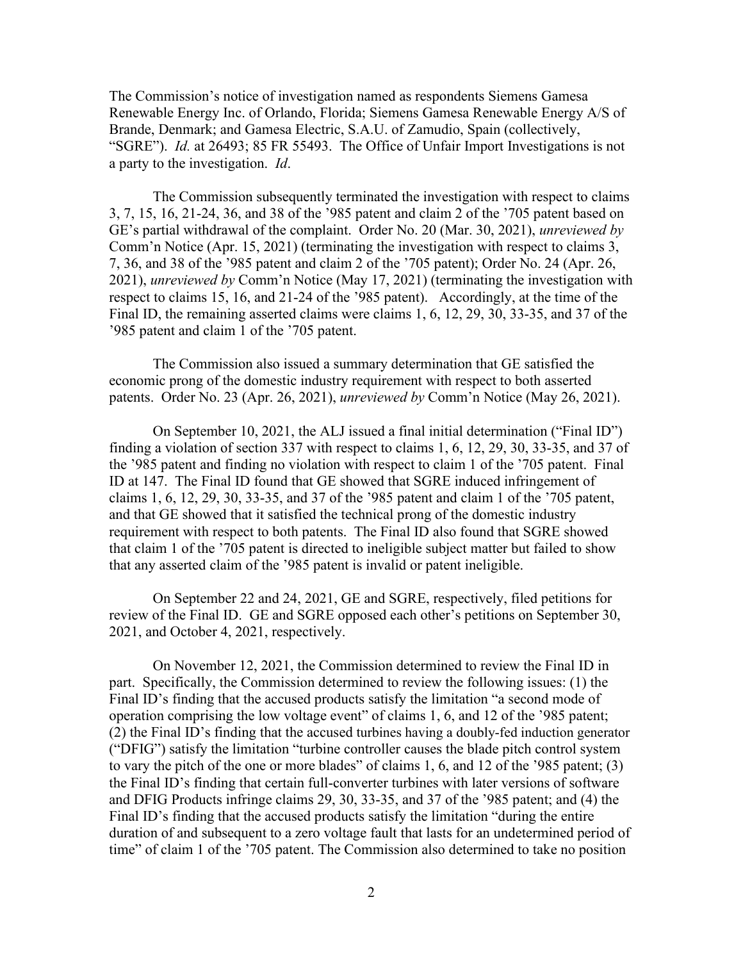The Commission's notice of investigation named as respondents Siemens Gamesa Renewable Energy Inc. of Orlando, Florida; Siemens Gamesa Renewable Energy A/S of Brande, Denmark; and Gamesa Electric, S.A.U. of Zamudio, Spain (collectively, "SGRE"). *Id.* at 26493; 85 FR 55493. The Office of Unfair Import Investigations is not a party to the investigation. *Id*.

The Commission subsequently terminated the investigation with respect to claims 3, 7, 15, 16, 21-24, 36, and 38 of the '985 patent and claim 2 of the '705 patent based on GE's partial withdrawal of the complaint. Order No. 20 (Mar. 30, 2021), *unreviewed by* Comm'n Notice (Apr. 15, 2021) (terminating the investigation with respect to claims 3, 7, 36, and 38 of the '985 patent and claim 2 of the '705 patent); Order No. 24 (Apr. 26, 2021), *unreviewed by* Comm'n Notice (May 17, 2021) (terminating the investigation with respect to claims 15, 16, and 21-24 of the '985 patent). Accordingly, at the time of the Final ID, the remaining asserted claims were claims 1, 6, 12, 29, 30, 33-35, and 37 of the '985 patent and claim 1 of the '705 patent.

The Commission also issued a summary determination that GE satisfied the economic prong of the domestic industry requirement with respect to both asserted patents. Order No. 23 (Apr. 26, 2021), *unreviewed by* Comm'n Notice (May 26, 2021).

On September 10, 2021, the ALJ issued a final initial determination ("Final ID") finding a violation of section 337 with respect to claims 1, 6, 12, 29, 30, 33-35, and 37 of the '985 patent and finding no violation with respect to claim 1 of the '705 patent. Final ID at 147. The Final ID found that GE showed that SGRE induced infringement of claims 1, 6, 12, 29, 30, 33-35, and 37 of the '985 patent and claim 1 of the '705 patent, and that GE showed that it satisfied the technical prong of the domestic industry requirement with respect to both patents. The Final ID also found that SGRE showed that claim 1 of the '705 patent is directed to ineligible subject matter but failed to show that any asserted claim of the '985 patent is invalid or patent ineligible.

On September 22 and 24, 2021, GE and SGRE, respectively, filed petitions for review of the Final ID. GE and SGRE opposed each other's petitions on September 30, 2021, and October 4, 2021, respectively.

On November 12, 2021, the Commission determined to review the Final ID in part. Specifically, the Commission determined to review the following issues: (1) the Final ID's finding that the accused products satisfy the limitation "a second mode of operation comprising the low voltage event" of claims 1, 6, and 12 of the '985 patent; (2) the Final ID's finding that the accused turbines having a doubly-fed induction generator ("DFIG") satisfy the limitation "turbine controller causes the blade pitch control system to vary the pitch of the one or more blades" of claims 1, 6, and 12 of the '985 patent; (3) the Final ID's finding that certain full-converter turbines with later versions of software and DFIG Products infringe claims 29, 30, 33-35, and 37 of the '985 patent; and (4) the Final ID's finding that the accused products satisfy the limitation "during the entire duration of and subsequent to a zero voltage fault that lasts for an undetermined period of time" of claim 1 of the '705 patent. The Commission also determined to take no position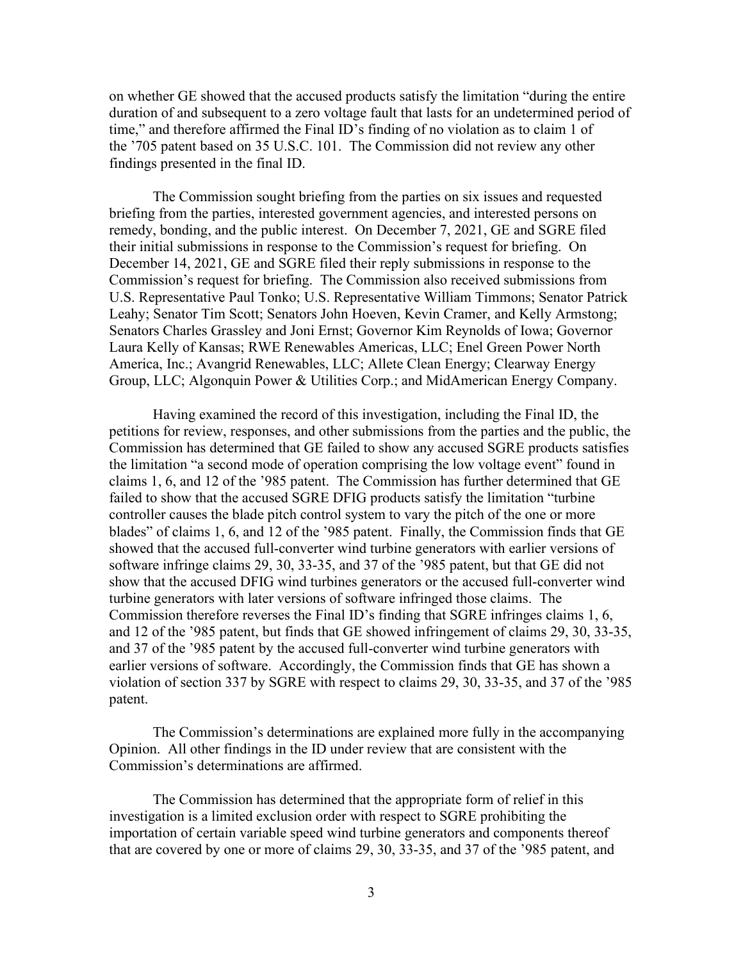on whether GE showed that the accused products satisfy the limitation "during the entire duration of and subsequent to a zero voltage fault that lasts for an undetermined period of time," and therefore affirmed the Final ID's finding of no violation as to claim 1 of the '705 patent based on 35 U.S.C. 101. The Commission did not review any other findings presented in the final ID.

The Commission sought briefing from the parties on six issues and requested briefing from the parties, interested government agencies, and interested persons on remedy, bonding, and the public interest. On December 7, 2021, GE and SGRE filed their initial submissions in response to the Commission's request for briefing. On December 14, 2021, GE and SGRE filed their reply submissions in response to the Commission's request for briefing. The Commission also received submissions from U.S. Representative Paul Tonko; U.S. Representative William Timmons; Senator Patrick Leahy; Senator Tim Scott; Senators John Hoeven, Kevin Cramer, and Kelly Armstong; Senators Charles Grassley and Joni Ernst; Governor Kim Reynolds of Iowa; Governor Laura Kelly of Kansas; RWE Renewables Americas, LLC; Enel Green Power North America, Inc.; Avangrid Renewables, LLC; Allete Clean Energy; Clearway Energy Group, LLC; Algonquin Power & Utilities Corp.; and MidAmerican Energy Company.

Having examined the record of this investigation, including the Final ID, the petitions for review, responses, and other submissions from the parties and the public, the Commission has determined that GE failed to show any accused SGRE products satisfies the limitation "a second mode of operation comprising the low voltage event" found in claims 1, 6, and 12 of the '985 patent. The Commission has further determined that GE failed to show that the accused SGRE DFIG products satisfy the limitation "turbine controller causes the blade pitch control system to vary the pitch of the one or more blades" of claims 1, 6, and 12 of the '985 patent. Finally, the Commission finds that GE showed that the accused full-converter wind turbine generators with earlier versions of software infringe claims 29, 30, 33-35, and 37 of the '985 patent, but that GE did not show that the accused DFIG wind turbines generators or the accused full-converter wind turbine generators with later versions of software infringed those claims. The Commission therefore reverses the Final ID's finding that SGRE infringes claims 1, 6, and 12 of the '985 patent, but finds that GE showed infringement of claims 29, 30, 33-35, and 37 of the '985 patent by the accused full-converter wind turbine generators with earlier versions of software. Accordingly, the Commission finds that GE has shown a violation of section 337 by SGRE with respect to claims 29, 30, 33-35, and 37 of the '985 patent.

The Commission's determinations are explained more fully in the accompanying Opinion. All other findings in the ID under review that are consistent with the Commission's determinations are affirmed.

The Commission has determined that the appropriate form of relief in this investigation is a limited exclusion order with respect to SGRE prohibiting the importation of certain variable speed wind turbine generators and components thereof that are covered by one or more of claims 29, 30, 33-35, and 37 of the '985 patent, and